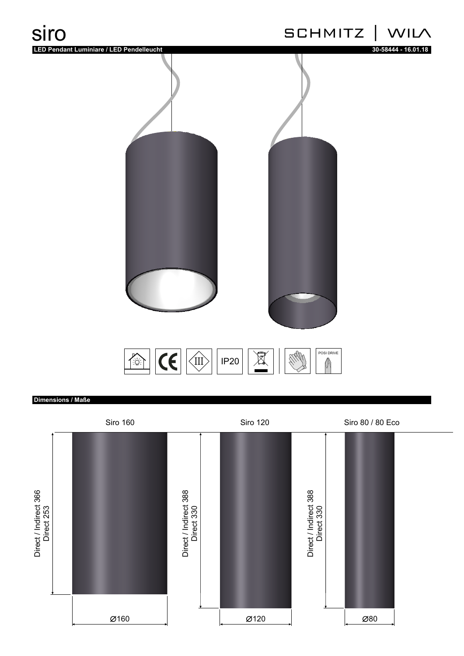

## **Dimensions / Maße**

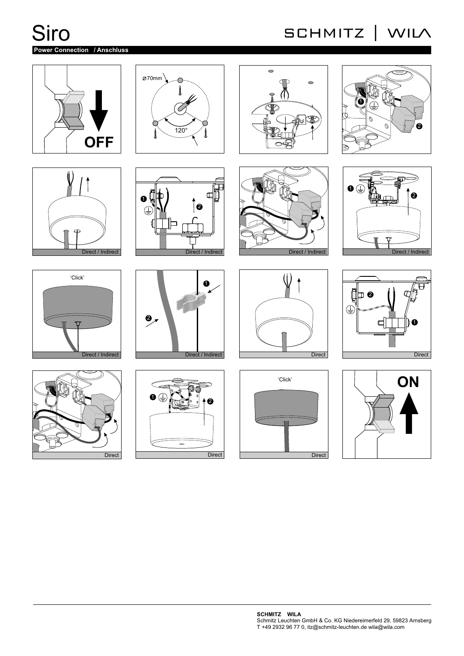Siro

# **Power Connection / Anschluss**

# SCHMITZ | WILA











![](_page_1_Picture_8.jpeg)

![](_page_1_Picture_9.jpeg)

![](_page_1_Figure_10.jpeg)

![](_page_1_Figure_11.jpeg)

![](_page_1_Picture_12.jpeg)

![](_page_1_Figure_13.jpeg)

![](_page_1_Figure_14.jpeg)

![](_page_1_Figure_15.jpeg)

![](_page_1_Figure_16.jpeg)

![](_page_1_Figure_17.jpeg)

![](_page_1_Figure_18.jpeg)